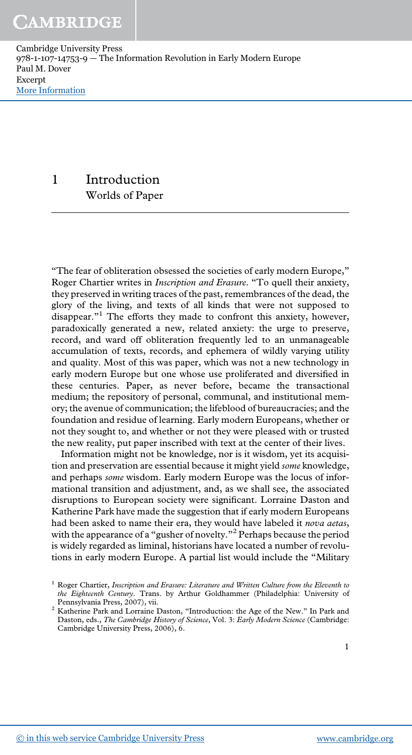Cambridge University Press 978-1-107-14753-9 — The Information Revolution in Early Modern Europe Paul M. Dover Excerpt [More Information](www.cambridge.org/9781107147539)

> 1 Introduction Worlds of Paper

"The fear of obliteration obsessed the societies of early modern Europe," Roger Chartier writes in Inscription and Erasure. "To quell their anxiety, they preserved in writing traces of the past, remembrances of the dead, the glory of the living, and texts of all kinds that were not supposed to disappear."<sup>1</sup> The efforts they made to confront this anxiety, however, paradoxically generated a new, related anxiety: the urge to preserve, record, and ward off obliteration frequently led to an unmanageable accumulation of texts, records, and ephemera of wildly varying utility and quality. Most of this was paper, which was not a new technology in early modern Europe but one whose use proliferated and diversified in these centuries. Paper, as never before, became the transactional medium; the repository of personal, communal, and institutional memory; the avenue of communication; the lifeblood of bureaucracies; and the foundation and residue of learning. Early modern Europeans, whether or not they sought to, and whether or not they were pleased with or trusted the new reality, put paper inscribed with text at the center of their lives.

Information might not be knowledge, nor is it wisdom, yet its acquisition and preservation are essential because it might yield some knowledge, and perhaps some wisdom. Early modern Europe was the locus of informational transition and adjustment, and, as we shall see, the associated disruptions to European society were significant. Lorraine Daston and Katherine Park have made the suggestion that if early modern Europeans had been asked to name their era, they would have labeled it nova aetas, with the appearance of a "gusher of novelty."  $^2$  Perhaps because the period is widely regarded as liminal, historians have located a number of revolutions in early modern Europe. A partial list would include the "Military

 $1$  Roger Chartier, Inscription and Erasure: Literature and Written Culture from the Eleventh to the Eighteenth Century. Trans. by Arthur Goldhammer (Philadelphia: University of Pennsylvania Press, 2007), vii.

<sup>&</sup>lt;sup>2</sup> Katherine Park and Lorraine Daston, "Introduction: the Age of the New." In Park and Daston, eds., The Cambridge History of Science, Vol. 3: Early Modern Science (Cambridge: Cambridge University Press, 2006), 6.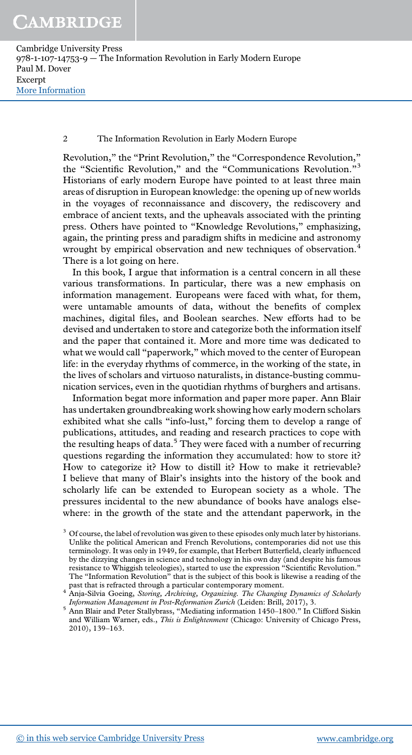Cambridge University Press 978-1-107-14753-9 — The Information Revolution in Early Modern Europe Paul M. Dover Excerpt [More Information](www.cambridge.org/9781107147539)

### 2 The Information Revolution in Early Modern Europe

Revolution," the "Print Revolution," the "Correspondence Revolution," the "Scientific Revolution," and the "Communications Revolution."<sup>3</sup> Historians of early modern Europe have pointed to at least three main areas of disruption in European knowledge: the opening up of new worlds in the voyages of reconnaissance and discovery, the rediscovery and embrace of ancient texts, and the upheavals associated with the printing press. Others have pointed to "Knowledge Revolutions," emphasizing, again, the printing press and paradigm shifts in medicine and astronomy wrought by empirical observation and new techniques of observation.<sup>4</sup> There is a lot going on here.

In this book, I argue that information is a central concern in all these various transformations. In particular, there was a new emphasis on information management. Europeans were faced with what, for them, were untamable amounts of data, without the benefits of complex machines, digital files, and Boolean searches. New efforts had to be devised and undertaken to store and categorize both the information itself and the paper that contained it. More and more time was dedicated to what we would call "paperwork," which moved to the center of European life: in the everyday rhythms of commerce, in the working of the state, in the lives of scholars and virtuoso naturalists, in distance-busting communication services, even in the quotidian rhythms of burghers and artisans.

Information begat more information and paper more paper. Ann Blair has undertaken groundbreaking work showing how early modern scholars exhibited what she calls "info-lust," forcing them to develop a range of publications, attitudes, and reading and research practices to cope with the resulting heaps of data.<sup>5</sup> They were faced with a number of recurring questions regarding the information they accumulated: how to store it? How to categorize it? How to distill it? How to make it retrievable? I believe that many of Blair's insights into the history of the book and scholarly life can be extended to European society as a whole. The pressures incidental to the new abundance of books have analogs elsewhere: in the growth of the state and the attendant paperwork, in the

 $3\sigma$  Of course, the label of revolution was given to these episodes only much later by historians. Unlike the political American and French Revolutions, contemporaries did not use this terminology. It was only in 1949, for example, that Herbert Butterfield, clearly influenced by the dizzying changes in science and technology in his own day (and despite his famous resistance to Whiggish teleologies), started to use the expression "Scientific Revolution." The "Information Revolution" that is the subject of this book is likewise a reading of the

past that is refracted through a particular contemporary moment.<br><sup>4</sup> Anja-Silvia Goeing, Storing, Archiving, Organizing. The Changing Dynamics of Scholarly Information Management in Post-Reformation Zurich (Leiden: Brill, 2017), 3.

<sup>5</sup> Ann Blair and Peter Stallybrass, "Mediating information 1450–1800." In Clifford Siskin and William Warner, eds., This is Enlightenment (Chicago: University of Chicago Press, 2010), 139–163.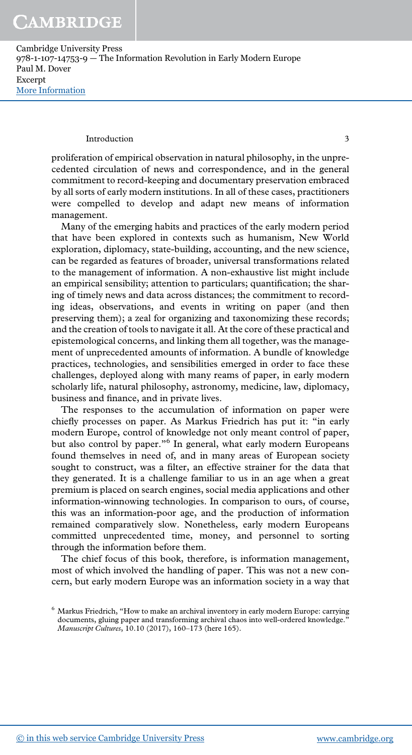Cambridge University Press 978-1-107-14753-9 — The Information Revolution in Early Modern Europe Paul M. Dover Excerpt [More Information](www.cambridge.org/9781107147539)

#### Introduction 3

proliferation of empirical observation in natural philosophy, in the unprecedented circulation of news and correspondence, and in the general commitment to record-keeping and documentary preservation embraced by all sorts of early modern institutions. In all of these cases, practitioners were compelled to develop and adapt new means of information management.

Many of the emerging habits and practices of the early modern period that have been explored in contexts such as humanism, New World exploration, diplomacy, state-building, accounting, and the new science, can be regarded as features of broader, universal transformations related to the management of information. A non-exhaustive list might include an empirical sensibility; attention to particulars; quantification; the sharing of timely news and data across distances; the commitment to recording ideas, observations, and events in writing on paper (and then preserving them); a zeal for organizing and taxonomizing these records; and the creation of tools to navigate it all. At the core of these practical and epistemological concerns, and linking them all together, was the management of unprecedented amounts of information. A bundle of knowledge practices, technologies, and sensibilities emerged in order to face these challenges, deployed along with many reams of paper, in early modern scholarly life, natural philosophy, astronomy, medicine, law, diplomacy, business and finance, and in private lives.

The responses to the accumulation of information on paper were chiefly processes on paper. As Markus Friedrich has put it: "in early modern Europe, control of knowledge not only meant control of paper, but also control by paper."<sup>6</sup> In general, what early modern Europeans found themselves in need of, and in many areas of European society sought to construct, was a filter, an effective strainer for the data that they generated. It is a challenge familiar to us in an age when a great premium is placed on search engines, social media applications and other information-winnowing technologies. In comparison to ours, of course, this was an information-poor age, and the production of information remained comparatively slow. Nonetheless, early modern Europeans committed unprecedented time, money, and personnel to sorting through the information before them.

The chief focus of this book, therefore, is information management, most of which involved the handling of paper. This was not a new concern, but early modern Europe was an information society in a way that

<sup>6</sup> Markus Friedrich, "How to make an archival inventory in early modern Europe: carrying documents, gluing paper and transforming archival chaos into well-ordered knowledge." Manuscript Cultures, 10.10 (2017), 160–173 (here 165).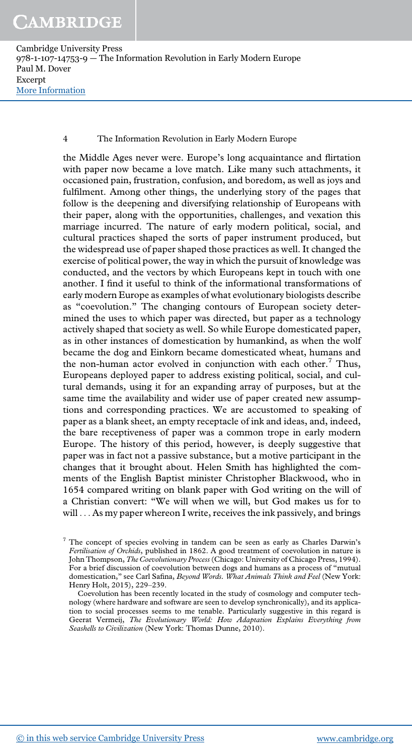Cambridge University Press 978-1-107-14753-9 — The Information Revolution in Early Modern Europe Paul M. Dover Excerpt [More Information](www.cambridge.org/9781107147539)

### 4 The Information Revolution in Early Modern Europe

the Middle Ages never were. Europe's long acquaintance and flirtation with paper now became a love match. Like many such attachments, it occasioned pain, frustration, confusion, and boredom, as well as joys and fulfilment. Among other things, the underlying story of the pages that follow is the deepening and diversifying relationship of Europeans with their paper, along with the opportunities, challenges, and vexation this marriage incurred. The nature of early modern political, social, and cultural practices shaped the sorts of paper instrument produced, but the widespread use of paper shaped those practices as well. It changed the exercise of political power, the way in which the pursuit of knowledge was conducted, and the vectors by which Europeans kept in touch with one another. I find it useful to think of the informational transformations of early modern Europe as examples of what evolutionary biologists describe as "coevolution." The changing contours of European society determined the uses to which paper was directed, but paper as a technology actively shaped that society as well. So while Europe domesticated paper, as in other instances of domestication by humankind, as when the wolf became the dog and Einkorn became domesticated wheat, humans and the non-human actor evolved in conjunction with each other.<sup>7</sup> Thus, Europeans deployed paper to address existing political, social, and cultural demands, using it for an expanding array of purposes, but at the same time the availability and wider use of paper created new assumptions and corresponding practices. We are accustomed to speaking of paper as a blank sheet, an empty receptacle of ink and ideas, and, indeed, the bare receptiveness of paper was a common trope in early modern Europe. The history of this period, however, is deeply suggestive that paper was in fact not a passive substance, but a motive participant in the changes that it brought about. Helen Smith has highlighted the comments of the English Baptist minister Christopher Blackwood, who in 1654 compared writing on blank paper with God writing on the will of a Christian convert: "We will when we will, but God makes us for to will ... As my paper whereon I write, receives the ink passively, and brings

<sup>7</sup> The concept of species evolving in tandem can be seen as early as Charles Darwin's Fertilisation of Orchids, published in 1862. A good treatment of coevolution in nature is John Thompson, The Coevolutionary Process(Chicago: University of Chicago Press, 1994). For a brief discussion of coevolution between dogs and humans as a process of "mutual domestication," see Carl Safina, Beyond Words. What Animals Think and Feel (New York: Henry Holt, 2015), 229–239.

Coevolution has been recently located in the study of cosmology and computer technology (where hardware and software are seen to develop synchronically), and its application to social processes seems to me tenable. Particularly suggestive in this regard is Geerat Vermeij, The Evolutionary World: How Adaptation Explains Everything from Seashells to Civilization (New York: Thomas Dunne, 2010).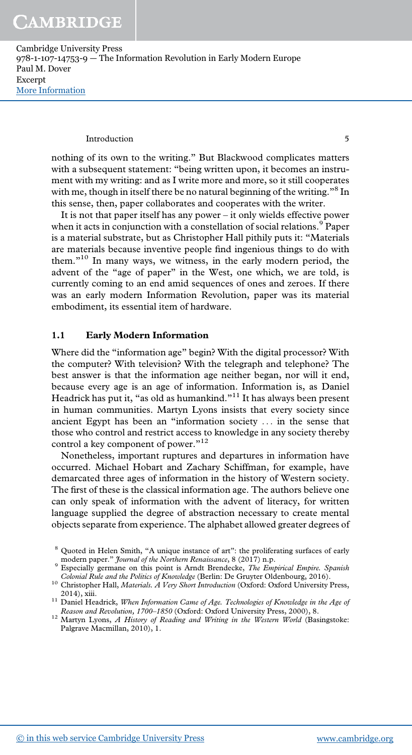Cambridge University Press 978-1-107-14753-9 — The Information Revolution in Early Modern Europe Paul M. Dover Excerpt [More Information](www.cambridge.org/9781107147539)

#### Introduction 5

nothing of its own to the writing." But Blackwood complicates matters with a subsequent statement: "being written upon, it becomes an instrument with my writing: and as I write more and more, so it still cooperates with me, though in itself there be no natural beginning of the writing." <sup>8</sup> In this sense, then, paper collaborates and cooperates with the writer.

It is not that paper itself has any power – it only wields effective power when it acts in conjunction with a constellation of social relations.<sup>9</sup> Paper is a material substrate, but as Christopher Hall pithily puts it: "Materials are materials because inventive people find ingenious things to do with them." <sup>10</sup> In many ways, we witness, in the early modern period, the advent of the "age of paper" in the West, one which, we are told, is currently coming to an end amid sequences of ones and zeroes. If there was an early modern Information Revolution, paper was its material embodiment, its essential item of hardware.

### 1.1 Early Modern Information

Where did the "information age" begin? With the digital processor? With the computer? With television? With the telegraph and telephone? The best answer is that the information age neither began, nor will it end, because every age is an age of information. Information is, as Daniel Headrick has put it, "as old as humankind."<sup>11</sup> It has always been present in human communities. Martyn Lyons insists that every society since ancient Egypt has been an "information society ... in the sense that those who control and restrict access to knowledge in any society thereby control a key component of power."<sup>12</sup>

Nonetheless, important ruptures and departures in information have occurred. Michael Hobart and Zachary Schiffman, for example, have demarcated three ages of information in the history of Western society. The first of these is the classical information age. The authors believe one can only speak of information with the advent of literacy, for written language supplied the degree of abstraction necessary to create mental objects separate from experience. The alphabet allowed greater degrees of

<sup>8</sup> Quoted in Helen Smith, "A unique instance of art": the proliferating surfaces of early modern paper." *Journal of the Northern Renaissance*, 8 (2017) n.p.

<sup>&</sup>lt;sup>9</sup> Especially germane on this point is Arndt Brendecke, *The Empirical Empire*. Spanish Colonial Rule and the Politics of Knowledge (Berlin: De Gruyter Oldenbourg, 2016).

 $^{10}$  Christopher Hall, Materials. A Very Short Introduction (Oxford: Oxford University Press, 2014), xiii.

<sup>&</sup>lt;sup>11</sup> Daniel Headrick, When Information Came of Age. Technologies of Knowledge in the Age of Reason and Revolution, 1700–1850 (Oxford: Oxford University Press, 2000), 8.

<sup>&</sup>lt;sup>12</sup> Martyn Lyons, *A History of Reading and Writing in the Western World* (Basingstoke: Palgrave Macmillan, 2010), 1.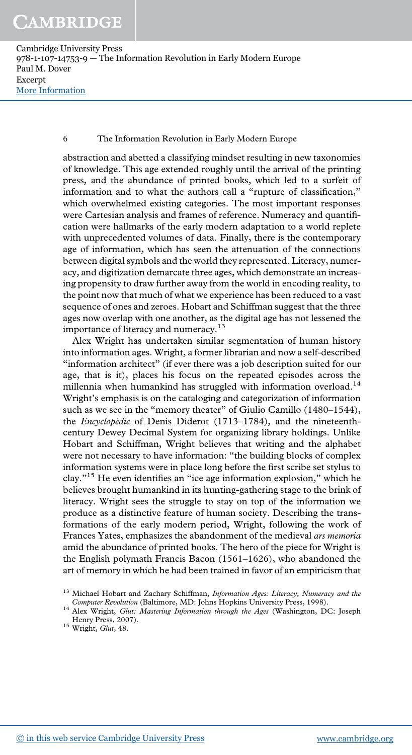Cambridge University Press 978-1-107-14753-9 — The Information Revolution in Early Modern Europe Paul M. Dover Excerpt [More Information](www.cambridge.org/9781107147539)

### 6 The Information Revolution in Early Modern Europe

abstraction and abetted a classifying mindset resulting in new taxonomies of knowledge. This age extended roughly until the arrival of the printing press, and the abundance of printed books, which led to a surfeit of information and to what the authors call a "rupture of classification," which overwhelmed existing categories. The most important responses were Cartesian analysis and frames of reference. Numeracy and quantification were hallmarks of the early modern adaptation to a world replete with unprecedented volumes of data. Finally, there is the contemporary age of information, which has seen the attenuation of the connections between digital symbols and the world they represented. Literacy, numeracy, and digitization demarcate three ages, which demonstrate an increasing propensity to draw further away from the world in encoding reality, to the point now that much of what we experience has been reduced to a vast sequence of ones and zeroes. Hobart and Schiffman suggest that the three ages now overlap with one another, as the digital age has not lessened the importance of literacy and numeracy.<sup>13</sup>

Alex Wright has undertaken similar segmentation of human history into information ages. Wright, a former librarian and now a self-described "information architect" (if ever there was a job description suited for our age, that is it), places his focus on the repeated episodes across the millennia when humankind has struggled with information overload.<sup>14</sup> Wright's emphasis is on the cataloging and categorization of information such as we see in the "memory theater" of Giulio Camillo (1480–1544), the Encyclopédie of Denis Diderot (1713–1784), and the nineteenthcentury Dewey Decimal System for organizing library holdings. Unlike Hobart and Schiffman, Wright believes that writing and the alphabet were not necessary to have information: "the building blocks of complex information systems were in place long before the first scribe set stylus to clay."<sup>15</sup> He even identifies an "ice age information explosion," which he believes brought humankind in its hunting-gathering stage to the brink of literacy. Wright sees the struggle to stay on top of the information we produce as a distinctive feature of human society. Describing the transformations of the early modern period, Wright, following the work of Frances Yates, emphasizes the abandonment of the medieval ars memoria amid the abundance of printed books. The hero of the piece for Wright is the English polymath Francis Bacon (1561–1626), who abandoned the art of memory in which he had been trained in favor of an empiricism that

<sup>&</sup>lt;sup>13</sup> Michael Hobart and Zachary Schiffman, Information Ages: Literacy, Numeracy and the Computer Revolution (Baltimore, MD: Johns Hopkins University Press, 1998).

<sup>&</sup>lt;sup>14</sup> Alex Wright, Glut: Mastering Information through the Ages (Washington, DC: Joseph Henry Press, 2007).

 $15$  Wright, *Glut*, 48.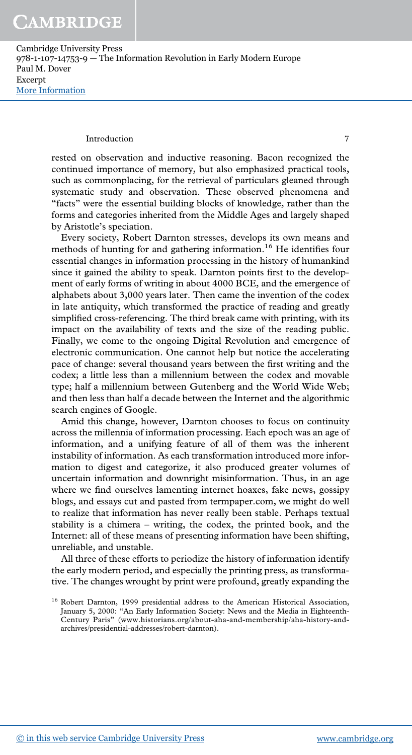Cambridge University Press 978-1-107-14753-9 — The Information Revolution in Early Modern Europe Paul M. Dover Excerpt [More Information](www.cambridge.org/9781107147539)

#### Introduction 7

rested on observation and inductive reasoning. Bacon recognized the continued importance of memory, but also emphasized practical tools, such as commonplacing, for the retrieval of particulars gleaned through systematic study and observation. These observed phenomena and "facts" were the essential building blocks of knowledge, rather than the forms and categories inherited from the Middle Ages and largely shaped by Aristotle's speciation.

Every society, Robert Darnton stresses, develops its own means and methods of hunting for and gathering information.<sup>16</sup> He identifies four essential changes in information processing in the history of humankind since it gained the ability to speak. Darnton points first to the development of early forms of writing in about 4000 BCE, and the emergence of alphabets about 3,000 years later. Then came the invention of the codex in late antiquity, which transformed the practice of reading and greatly simplified cross-referencing. The third break came with printing, with its impact on the availability of texts and the size of the reading public. Finally, we come to the ongoing Digital Revolution and emergence of electronic communication. One cannot help but notice the accelerating pace of change: several thousand years between the first writing and the codex; a little less than a millennium between the codex and movable type; half a millennium between Gutenberg and the World Wide Web; and then less than half a decade between the Internet and the algorithmic search engines of Google.

Amid this change, however, Darnton chooses to focus on continuity across the millennia of information processing. Each epoch was an age of information, and a unifying feature of all of them was the inherent instability of information. As each transformation introduced more information to digest and categorize, it also produced greater volumes of uncertain information and downright misinformation. Thus, in an age where we find ourselves lamenting internet hoaxes, fake news, gossipy blogs, and essays cut and pasted from termpaper.com, we might do well to realize that information has never really been stable. Perhaps textual stability is a chimera – writing, the codex, the printed book, and the Internet: all of these means of presenting information have been shifting, unreliable, and unstable.

All three of these efforts to periodize the history of information identify the early modern period, and especially the printing press, as transformative. The changes wrought by print were profound, greatly expanding the

<sup>&</sup>lt;sup>16</sup> Robert Darnton, 1999 presidential address to the American Historical Association, January 5, 2000: "An Early Information Society: News and the Media in Eighteenth-Century Paris" (www.historians.org/about-aha-and-membership/aha-history-andarchives/presidential-addresses/robert-darnton).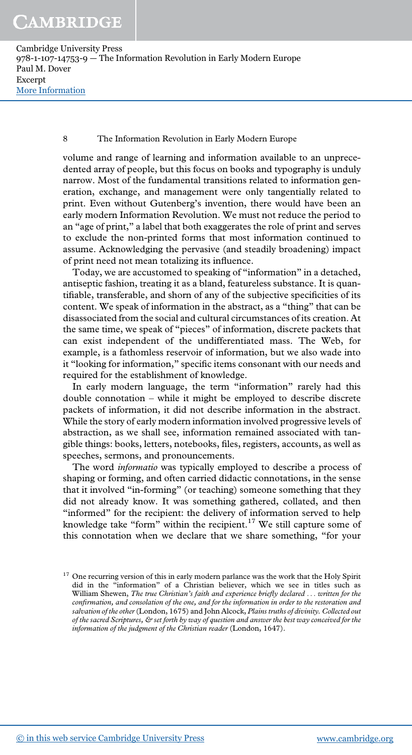Cambridge University Press 978-1-107-14753-9 — The Information Revolution in Early Modern Europe Paul M. Dover Excerpt [More Information](www.cambridge.org/9781107147539)

### 8 The Information Revolution in Early Modern Europe

volume and range of learning and information available to an unprecedented array of people, but this focus on books and typography is unduly narrow. Most of the fundamental transitions related to information generation, exchange, and management were only tangentially related to print. Even without Gutenberg's invention, there would have been an early modern Information Revolution. We must not reduce the period to an "age of print," a label that both exaggerates the role of print and serves to exclude the non-printed forms that most information continued to assume. Acknowledging the pervasive (and steadily broadening) impact of print need not mean totalizing its influence.

Today, we are accustomed to speaking of "information" in a detached, antiseptic fashion, treating it as a bland, featureless substance. It is quantifiable, transferable, and shorn of any of the subjective specificities of its content. We speak of information in the abstract, as a "thing" that can be disassociated from the social and cultural circumstances of its creation. At the same time, we speak of "pieces" of information, discrete packets that can exist independent of the undifferentiated mass. The Web, for example, is a fathomless reservoir of information, but we also wade into it "looking for information," specific items consonant with our needs and required for the establishment of knowledge.

In early modern language, the term "information" rarely had this double connotation – while it might be employed to describe discrete packets of information, it did not describe information in the abstract. While the story of early modern information involved progressive levels of abstraction, as we shall see, information remained associated with tangible things: books, letters, notebooks, files, registers, accounts, as well as speeches, sermons, and pronouncements.

The word *informatio* was typically employed to describe a process of shaping or forming, and often carried didactic connotations, in the sense that it involved "in-forming" (or teaching) someone something that they did not already know. It was something gathered, collated, and then "informed" for the recipient: the delivery of information served to help knowledge take "form" within the recipient.<sup>17</sup> We still capture some of this connotation when we declare that we share something, "for your

 $17$  One recurring version of this in early modern parlance was the work that the Holy Spirit did in the "information" of a Christian believer, which we see in titles such as William Shewen, The true Christian's faith and experience briefly declared ... written for the confirmation, and consolation of the one, and for the information in order to the restoration and salvation of the other (London, 1675) and John Alcock, Plains truths of divinity. Collected out of the sacred Scriptures, & set forth by way of question and answer the best way conceived for the information of the judgment of the Christian reader (London, 1647).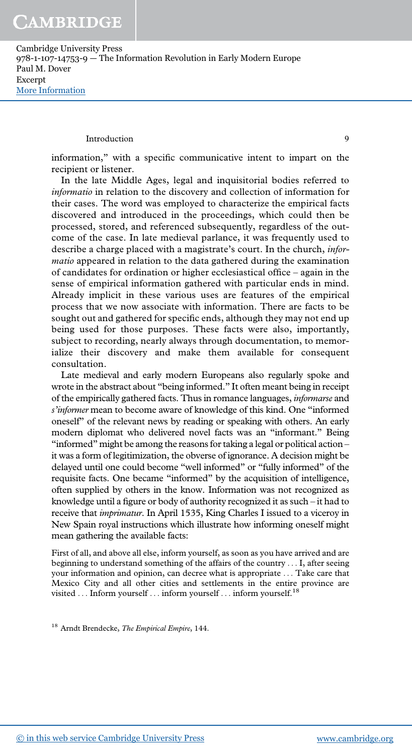Cambridge University Press 978-1-107-14753-9 — The Information Revolution in Early Modern Europe Paul M. Dover Excerpt [More Information](www.cambridge.org/9781107147539)

#### Introduction 9

information," with a specific communicative intent to impart on the recipient or listener.

In the late Middle Ages, legal and inquisitorial bodies referred to informatio in relation to the discovery and collection of information for their cases. The word was employed to characterize the empirical facts discovered and introduced in the proceedings, which could then be processed, stored, and referenced subsequently, regardless of the outcome of the case. In late medieval parlance, it was frequently used to describe a charge placed with a magistrate's court. In the church, informatio appeared in relation to the data gathered during the examination of candidates for ordination or higher ecclesiastical office – again in the sense of empirical information gathered with particular ends in mind. Already implicit in these various uses are features of the empirical process that we now associate with information. There are facts to be sought out and gathered for specific ends, although they may not end up being used for those purposes. These facts were also, importantly, subject to recording, nearly always through documentation, to memorialize their discovery and make them available for consequent consultation.

Late medieval and early modern Europeans also regularly spoke and wrote in the abstract about "being informed." It often meant being in receipt of the empirically gathered facts. Thus in romance languages, informarse and s'informer mean to become aware of knowledge of this kind. One "informed oneself" of the relevant news by reading or speaking with others. An early modern diplomat who delivered novel facts was an "informant." Being "informed" might be among the reasons for taking a legal or political action – it was a form of legitimization, the obverse of ignorance. A decision might be delayed until one could become "well informed" or "fully informed" of the requisite facts. One became "informed" by the acquisition of intelligence, often supplied by others in the know. Information was not recognized as knowledge until a figure or body of authority recognized it as such – it had to receive that imprimatur. In April 1535, King Charles I issued to a viceroy in New Spain royal instructions which illustrate how informing oneself might mean gathering the available facts:

First of all, and above all else, inform yourself, as soon as you have arrived and are beginning to understand something of the affairs of the country ... I, after seeing your information and opinion, can decree what is appropriate ... Take care that Mexico City and all other cities and settlements in the entire province are visited . . . Inform yourself . . . inform yourself . . . inform yourself.  $^{18}$ 

<sup>18</sup> Arndt Brendecke, The Empirical Empire, 144.